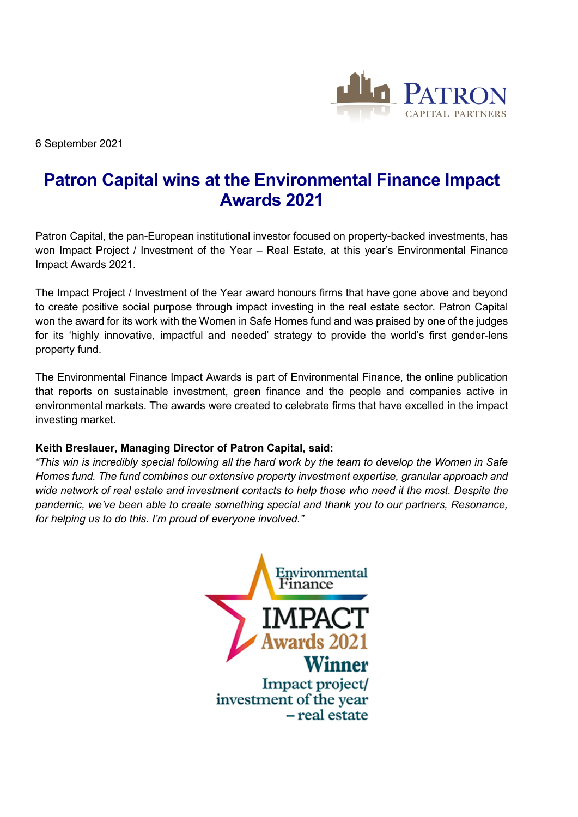

6 September 2021

## **Patron Capital wins at the Environmental Finance Impact Awards 2021**

Patron Capital, the pan-European institutional investor focused on property-backed investments, has won Impact Project / Investment of the Year – Real Estate, at this year's Environmental Finance Impact Awards 2021.

The Impact Project / Investment of the Year award honours firms that have gone above and beyond to create positive social purpose through impact investing in the real estate sector. Patron Capital won the award for its work with the Women in Safe Homes fund and was praised by one of the judges for its 'highly innovative, impactful and needed' strategy to provide the world's first gender-lens property fund.

The Environmental Finance Impact Awards is part of Environmental Finance, the online publication that reports on sustainable investment, green finance and the people and companies active in environmental markets. The awards were created to celebrate firms that have excelled in the impact investing market.

## **Keith Breslauer, Managing Director of Patron Capital, said:**

*"This win is incredibly special following all the hard work by the team to develop the Women in Safe Homes fund. The fund combines our extensive property investment expertise, granular approach and wide network of real estate and investment contacts to help those who need it the most. Despite the pandemic, we've been able to create something special and thank you to our partners, Resonance, for helping us to do this. I'm proud of everyone involved."*